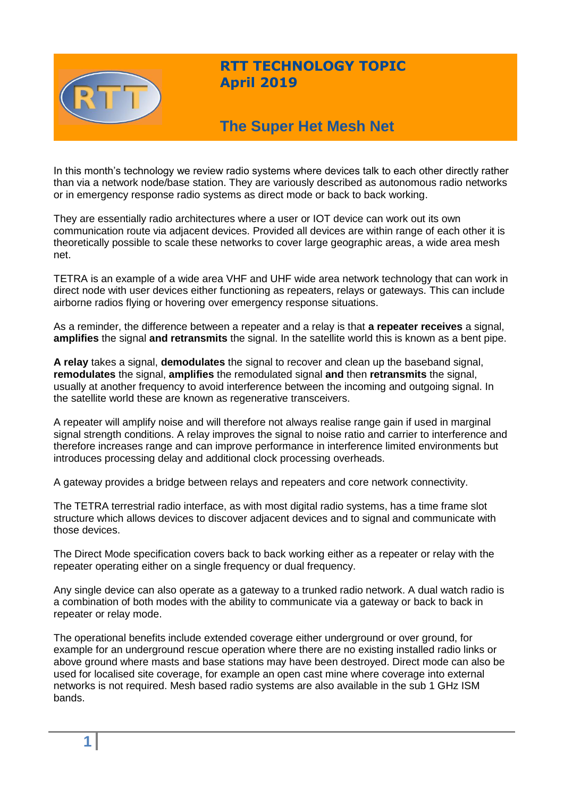

## **RTT TECHNOLOGY TOPIC April 2019**

# **The Super Het Mesh Net**

In this month's technology we review radio systems where devices talk to each other directly rather than via a network node/base station. They are variously described as autonomous radio networks or in emergency response radio systems as direct mode or back to back working.

They are essentially radio architectures where a user or IOT device can work out its own communication route via adjacent devices. Provided all devices are within range of each other it is theoretically possible to scale these networks to cover large geographic areas, a wide area mesh net.

TETRA is an example of a wide area VHF and UHF wide area network technology that can work in direct node with user devices either functioning as repeaters, relays or gateways. This can include airborne radios flying or hovering over emergency response situations.

As a reminder, the difference between a repeater and a relay is that **a repeater receives** a signal, **amplifies** the signal **and retransmits** the signal. In the satellite world this is known as a bent pipe.

**A relay** takes a signal, **demodulates** the signal to recover and clean up the baseband signal, **remodulates** the signal, **amplifies** the remodulated signal **and** then **retransmits** the signal, usually at another frequency to avoid interference between the incoming and outgoing signal. In the satellite world these are known as regenerative transceivers.

A repeater will amplify noise and will therefore not always realise range gain if used in marginal signal strength conditions. A relay improves the signal to noise ratio and carrier to interference and therefore increases range and can improve performance in interference limited environments but introduces processing delay and additional clock processing overheads.

A gateway provides a bridge between relays and repeaters and core network connectivity.

The TETRA terrestrial radio interface, as with most digital radio systems, has a time frame slot structure which allows devices to discover adjacent devices and to signal and communicate with those devices.

The Direct Mode specification covers back to back working either as a repeater or relay with the repeater operating either on a single frequency or dual frequency.

Any single device can also operate as a gateway to a trunked radio network. A dual watch radio is a combination of both modes with the ability to communicate via a gateway or back to back in repeater or relay mode.

The operational benefits include extended coverage either underground or over ground, for example for an underground rescue operation where there are no existing installed radio links or above ground where masts and base stations may have been destroyed. Direct mode can also be used for localised site coverage, for example an open cast mine where coverage into external networks is not required. Mesh based radio systems are also available in the sub 1 GHz ISM bands.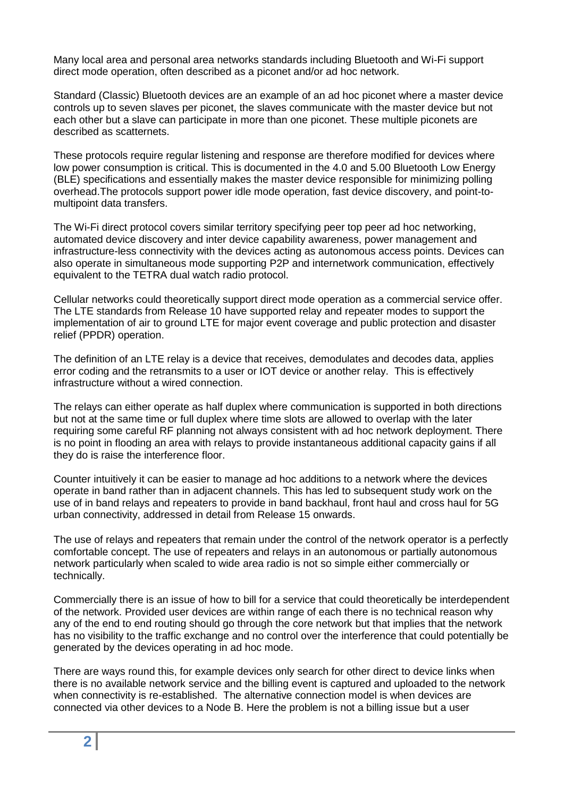Many local area and personal area networks standards including Bluetooth and Wi-Fi support direct mode operation, often described as a piconet and/or ad hoc network.

Standard (Classic) Bluetooth devices are an example of an ad hoc piconet where a master device controls up to seven slaves per piconet, the slaves communicate with the master device but not each other but a slave can participate in more than one piconet. These multiple piconets are described as scatternets.

These protocols require regular listening and response are therefore modified for devices where low power consumption is critical. This is documented in the 4.0 and 5.00 Bluetooth Low Energy (BLE) specifications and essentially makes the master device responsible for minimizing polling overhead.The protocols support power idle mode operation, fast device discovery, and point-tomultipoint data transfers.

The Wi-Fi direct protocol covers similar territory specifying peer top peer ad hoc networking, automated device discovery and inter device capability awareness, power management and infrastructure-less connectivity with the devices acting as autonomous access points. Devices can also operate in simultaneous mode supporting P2P and internetwork communication, effectively equivalent to the TETRA dual watch radio protocol.

Cellular networks could theoretically support direct mode operation as a commercial service offer. The LTE standards from Release 10 have supported relay and repeater modes to support the implementation of air to ground LTE for major event coverage and public protection and disaster relief (PPDR) operation.

The definition of an LTE relay is a device that receives, demodulates and decodes data, applies error coding and the retransmits to a user or IOT device or another relay. This is effectively infrastructure without a wired connection.

The relays can either operate as half duplex where communication is supported in both directions but not at the same time or full duplex where time slots are allowed to overlap with the later requiring some careful RF planning not always consistent with ad hoc network deployment. There is no point in flooding an area with relays to provide instantaneous additional capacity gains if all they do is raise the interference floor.

Counter intuitively it can be easier to manage ad hoc additions to a network where the devices operate in band rather than in adjacent channels. This has led to subsequent study work on the use of in band relays and repeaters to provide in band backhaul, front haul and cross haul for 5G urban connectivity, addressed in detail from Release 15 onwards.

The use of relays and repeaters that remain under the control of the network operator is a perfectly comfortable concept. The use of repeaters and relays in an autonomous or partially autonomous network particularly when scaled to wide area radio is not so simple either commercially or technically.

Commercially there is an issue of how to bill for a service that could theoretically be interdependent of the network. Provided user devices are within range of each there is no technical reason why any of the end to end routing should go through the core network but that implies that the network has no visibility to the traffic exchange and no control over the interference that could potentially be generated by the devices operating in ad hoc mode.

There are ways round this, for example devices only search for other direct to device links when there is no available network service and the billing event is captured and uploaded to the network when connectivity is re-established. The alternative connection model is when devices are connected via other devices to a Node B. Here the problem is not a billing issue but a user